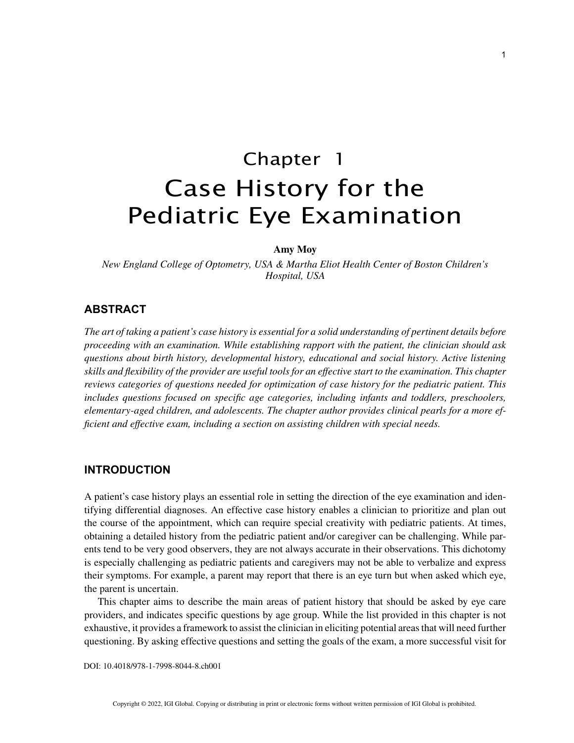# Chapter 1 Case History for the Pediatric Eye Examination

#### **Amy Moy**

*New England College of Optometry, USA & Martha Eliot Health Center of Boston Children's Hospital, USA*

# **ABSTRACT**

*The art of taking a patient's case history is essential for a solid understanding of pertinent details before proceeding with an examination. While establishing rapport with the patient, the clinician should ask questions about birth history, developmental history, educational and social history. Active listening skills and flexibility of the provider are useful tools for an effective start to the examination. This chapter reviews categories of questions needed for optimization of case history for the pediatric patient. This includes questions focused on specific age categories, including infants and toddlers, preschoolers, elementary-aged children, and adolescents. The chapter author provides clinical pearls for a more efficient and effective exam, including a section on assisting children with special needs.*

## **INTRODUCTION**

A patient's case history plays an essential role in setting the direction of the eye examination and identifying differential diagnoses. An effective case history enables a clinician to prioritize and plan out the course of the appointment, which can require special creativity with pediatric patients. At times, obtaining a detailed history from the pediatric patient and/or caregiver can be challenging. While parents tend to be very good observers, they are not always accurate in their observations. This dichotomy is especially challenging as pediatric patients and caregivers may not be able to verbalize and express their symptoms. For example, a parent may report that there is an eye turn but when asked which eye, the parent is uncertain.

This chapter aims to describe the main areas of patient history that should be asked by eye care providers, and indicates specific questions by age group. While the list provided in this chapter is not exhaustive, it provides a framework to assist the clinician in eliciting potential areas that will need further questioning. By asking effective questions and setting the goals of the exam, a more successful visit for

DOI: 10.4018/978-1-7998-8044-8.ch001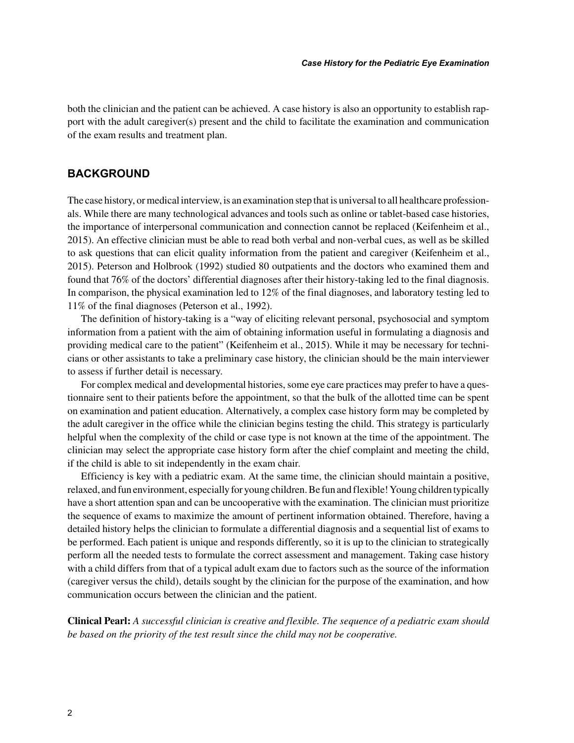both the clinician and the patient can be achieved. A case history is also an opportunity to establish rapport with the adult caregiver(s) present and the child to facilitate the examination and communication of the exam results and treatment plan.

## **BACKGROUND**

The case history, or medical interview, is an examination step that is universal to all healthcare professionals. While there are many technological advances and tools such as online or tablet-based case histories, the importance of interpersonal communication and connection cannot be replaced (Keifenheim et al., 2015). An effective clinician must be able to read both verbal and non-verbal cues, as well as be skilled to ask questions that can elicit quality information from the patient and caregiver (Keifenheim et al., 2015). Peterson and Holbrook (1992) studied 80 outpatients and the doctors who examined them and found that 76% of the doctors' differential diagnoses after their history-taking led to the final diagnosis. In comparison, the physical examination led to 12% of the final diagnoses, and laboratory testing led to 11% of the final diagnoses (Peterson et al., 1992).

The definition of history-taking is a "way of eliciting relevant personal, psychosocial and symptom information from a patient with the aim of obtaining information useful in formulating a diagnosis and providing medical care to the patient" (Keifenheim et al., 2015). While it may be necessary for technicians or other assistants to take a preliminary case history, the clinician should be the main interviewer to assess if further detail is necessary.

For complex medical and developmental histories, some eye care practices may prefer to have a questionnaire sent to their patients before the appointment, so that the bulk of the allotted time can be spent on examination and patient education. Alternatively, a complex case history form may be completed by the adult caregiver in the office while the clinician begins testing the child. This strategy is particularly helpful when the complexity of the child or case type is not known at the time of the appointment. The clinician may select the appropriate case history form after the chief complaint and meeting the child, if the child is able to sit independently in the exam chair.

Efficiency is key with a pediatric exam. At the same time, the clinician should maintain a positive, relaxed, and fun environment, especially for young children. Be fun and flexible! Young children typically have a short attention span and can be uncooperative with the examination. The clinician must prioritize the sequence of exams to maximize the amount of pertinent information obtained. Therefore, having a detailed history helps the clinician to formulate a differential diagnosis and a sequential list of exams to be performed. Each patient is unique and responds differently, so it is up to the clinician to strategically perform all the needed tests to formulate the correct assessment and management. Taking case history with a child differs from that of a typical adult exam due to factors such as the source of the information (caregiver versus the child), details sought by the clinician for the purpose of the examination, and how communication occurs between the clinician and the patient.

**Clinical Pearl:** *A successful clinician is creative and flexible. The sequence of a pediatric exam should be based on the priority of the test result since the child may not be cooperative.*